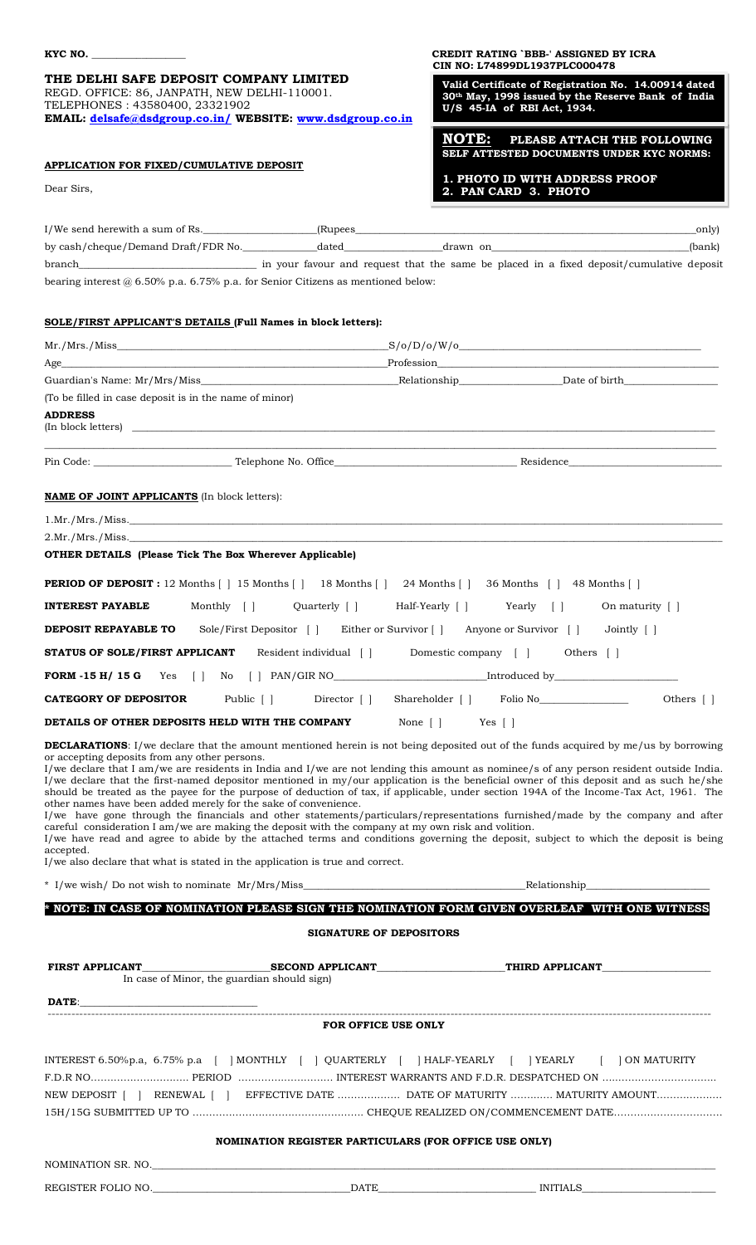**THE DELHI SAFE DEPOSIT COMPANY LIMITED** REGD. OFFICE: 86, JANPATH, NEW DELHI-110001. TELEPHONES : 43580400, 23321902 **EMAIL: [delsafe@dsdgroup.co.in/](mailto:delsafe@dsdgroup.co.in/) WEBSITE: [www.dsdgroup.co.in](http://www.dsdgroup.co.in/)**

# **APPLICATION FOR FIXED/CUMULATIVE DEPOSIT**

**KYC NO. \_\_\_\_\_\_\_\_\_\_\_\_\_\_\_\_\_\_\_ CREDIT RATING `BBB-' ASSIGNED BY ICRA CIN NO: L74899DL1937PLC000478** 

> **Valid Certificate of Registration No. 14.00914 dated 30th May, 1998 issued by the Reserve Bank of India U/S 45-IA of RBI Act, 1934. :**

**NOTE: PLEASE ATTACH THE FOLLOWING INCREASE AT A BEASE AT THOT THE T CELO WITH SELF ATTESTED DOCUMENTS UNDER KYC NORMS:** 

**1. PHOTO ID WITH ADDRESS PROOF 2. PAN CARD 3. PHOTO**

| I/We send herewith a sum of Rs.                                                         |            | (Rupees) and the contract of the contract of the contract of the contract of the contract of the contract of the contract of the contract of the contract of the contract of the contract of the contract of the contract of t<br>_only) |
|-----------------------------------------------------------------------------------------|------------|------------------------------------------------------------------------------------------------------------------------------------------------------------------------------------------------------------------------------------------|
| by cash/cheque/Demand Draft/FDR No. dated drawn on                                      |            | (bank)                                                                                                                                                                                                                                   |
|                                                                                         |            |                                                                                                                                                                                                                                          |
| bearing interest $\omega$ 6.50% p.a. 6.75% p.a. for Senior Citizens as mentioned below: |            |                                                                                                                                                                                                                                          |
|                                                                                         |            |                                                                                                                                                                                                                                          |
| SOLE/FIRST APPLICANT'S DETAILS (Full Names in block letters):                           |            |                                                                                                                                                                                                                                          |
| Mr. / Mrs. / Miss                                                                       |            | $-S/o/D/o/W/o$                                                                                                                                                                                                                           |
| Age                                                                                     | Profession |                                                                                                                                                                                                                                          |
| Guardian's Name: Mr/Mrs/Miss                                                            |            | Date of birth the state of the state of the state of the state of the state of the state of the state of the s                                                                                                                           |
| (To be filled in case deposit is in the name of minor)                                  |            |                                                                                                                                                                                                                                          |

\_\_\_\_\_\_\_\_\_\_\_\_\_\_\_\_\_\_\_\_\_\_\_\_\_\_\_\_\_\_\_\_\_\_\_\_\_\_\_\_\_\_\_\_\_\_\_\_\_\_\_\_\_\_\_\_\_\_\_\_\_\_\_\_\_\_\_\_\_\_\_\_\_\_\_\_\_\_\_\_\_\_\_\_\_\_\_\_\_\_\_\_\_\_\_\_\_\_\_\_\_\_\_\_\_\_\_\_\_\_\_\_\_\_\_\_\_\_\_\_\_\_\_\_\_\_\_\_\_\_\_\_\_\_\_\_

**ADDRESS**

 $(In block letters)$ 

Pin Code: Telephone No. Office and the settlement of the Residence

## **NAME OF JOINT APPLICANTS** (In block letters):

 $1.Mr./Mrs./Miss.$ 

# 2.Mr./Mrs./Miss.\_\_\_\_\_\_\_\_\_\_\_\_\_\_\_\_\_\_\_\_\_\_\_\_\_\_\_\_\_\_\_\_\_\_\_\_\_\_\_\_\_\_\_\_\_\_\_\_\_\_\_\_\_\_\_\_\_\_\_\_\_\_\_\_\_\_\_\_\_\_\_\_\_\_\_\_\_\_\_\_\_\_\_\_\_\_\_\_\_\_\_\_\_\_\_\_\_\_\_\_\_\_\_\_\_\_\_\_\_\_\_\_\_\_\_\_\_\_\_\_

# **OTHER DETAILS (Please Tick The Box Wherever Applicable)**

| <b>PERIOD OF DEPOSIT</b> : 12 Months $\begin{bmatrix} 1 & 15 \end{bmatrix}$ Months $\begin{bmatrix} 1 & 36 \end{bmatrix}$ 24 Months $\begin{bmatrix} 1 & 36 \end{bmatrix}$ Months $\begin{bmatrix} 1 & 48 \end{bmatrix}$ Months $\begin{bmatrix} 1 & 48 \end{bmatrix}$ |                                                                                                                |
|------------------------------------------------------------------------------------------------------------------------------------------------------------------------------------------------------------------------------------------------------------------------|----------------------------------------------------------------------------------------------------------------|
| Monthly [ ]<br>Ouarterly [ ]<br><b>INTEREST PAYABLE</b>                                                                                                                                                                                                                | Half-Yearly [ ] Yearly [ ]<br>On maturity [ ]                                                                  |
| DEPOSIT REPAYABLE TO                                                                                                                                                                                                                                                   | Sole/First Depositor [] Either or Survivor [] Anyone or Survivor [] Jointly []                                 |
| Resident individual [ ]<br>STATUS OF SOLE/FIRST APPLICANT                                                                                                                                                                                                              | Domestic company [ ]<br>Others []                                                                              |
| <b>FORM -15 H/ 15 G</b> Yes $\begin{bmatrix} 1 & No & [1 \ 1 & No & [1 \ 1 & 1 & 1 \end{bmatrix}$ PAN/GIR NO                                                                                                                                                           | Introduced by the control of the state of the state of the state of the state of the state of the state of the |
| Public [ ]<br>Director [ ]<br><b>CATEGORY OF DEPOSITOR</b>                                                                                                                                                                                                             | Shareholder     Folio No<br>Others []                                                                          |
| DETAILS OF OTHER DEPOSITS HELD WITH THE COMPANY                                                                                                                                                                                                                        | None $\lceil \cdot \rceil$<br>Yes [ ]                                                                          |

**DECLARATIONS**: I/we declare that the amount mentioned herein is not being deposited out of the funds acquired by me/us by borrowing or accepting deposits from any other persons.

I/we declare that I am/we are residents in India and I/we are not lending this amount as nominee/s of any person resident outside India. I/we declare that the first-named depositor mentioned in my/our application is the beneficial owner of this deposit and as such he/she should be treated as the payee for the purpose of deduction of tax, if applicable, under section 194A of the Income-Tax Act, 1961. The other names have been added merely for the sake of convenience. I/we have gone through the financials and other statements/particulars/representations furnished/made by the company and after careful consideration I am/we are making the deposit with the company at my own risk and volition.

I/we have read and agree to abide by the attached terms and conditions governing the deposit, subject to which the deposit is being accepted.

I/we also declare that what is stated in the application is true and correct.

\* I/we wish/ Do not wish to nominate Mr/Mrs/Miss the control of the control of the Relationship

**\* NOTE: IN CASE OF NOMINATION PLEASE SIGN THE NOMINATION FORM GIVEN OVERLEAF WITH ONE WITNESS**

# **SIGNATURE OF DEPOSITORS**

|       | In case of Minor, the guardian should sign)                                                                                                                                       | FIRST APPLICANT SECOND APPLICANT THIRD APPLICANT |  |  |
|-------|-----------------------------------------------------------------------------------------------------------------------------------------------------------------------------------|--------------------------------------------------|--|--|
| DATE: |                                                                                                                                                                                   |                                                  |  |  |
|       | FOR OFFICE USE ONLY                                                                                                                                                               |                                                  |  |  |
|       | INTEREST 6.50% p.a, 6.75% p.a     MONTHLY     QUARTERLY     HALF-YEARLY     YEARLY     ON MATURITY<br>NEW DEPOSIT [] RENEWAL [] EFFECTIVE DATE  DATE OF MATURITY  MATURITY AMOUNT |                                                  |  |  |
|       | <b>NOMINATION REGISTER PARTICULARS (FOR OFFICE USE ONLY)</b><br>NOMINATION SR. NO.                                                                                                |                                                  |  |  |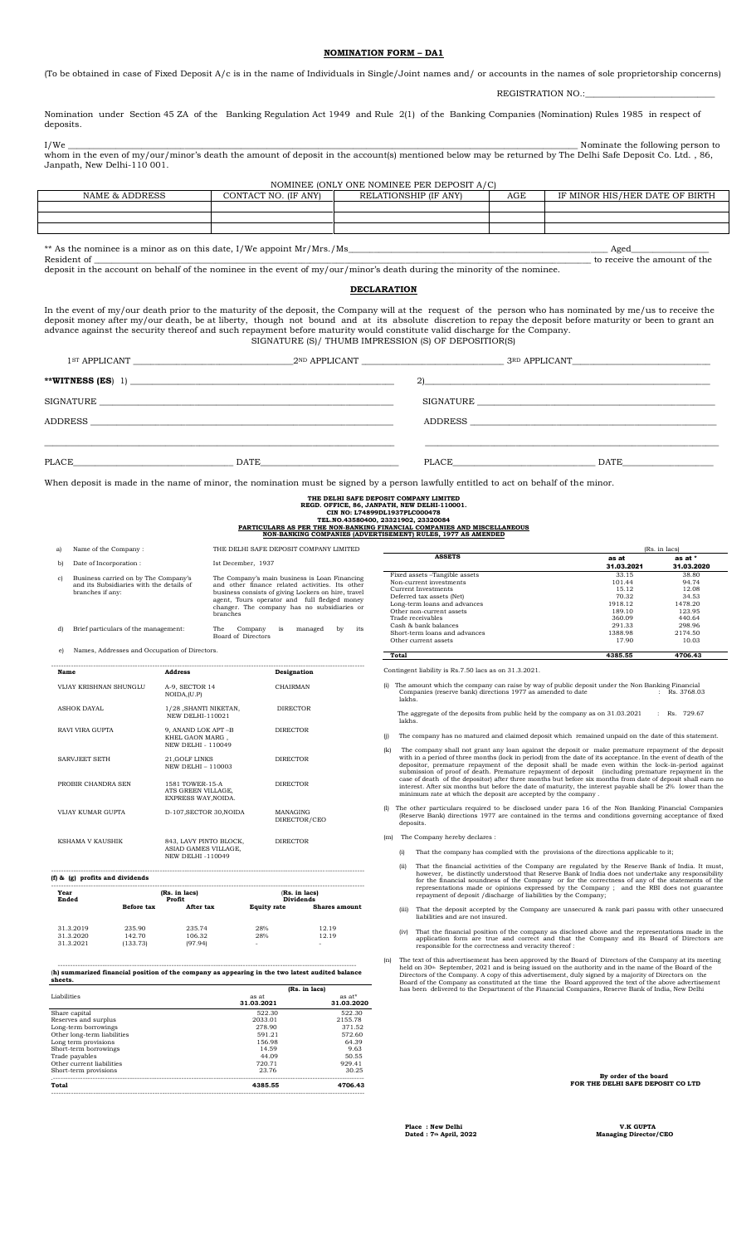## **NOMINATION FORM – DA1**

(To be obtained in case of Fixed Deposit A/c is in the name of Individuals in Single/Joint names and/ or accounts in the names of sole proprietorship concerns)

REGISTRATION NO.:

Nomination under Section 45 ZA of the Banking Regulation Act 1949 and Rule 2(1) of the Banking Companies (Nomination) Rules 1985 in respect of deposits.

I/We \_\_\_\_\_\_\_\_\_\_\_\_\_\_\_\_\_\_\_\_\_\_\_\_\_\_\_\_\_\_\_\_\_\_\_\_\_\_\_\_\_\_\_\_\_\_\_\_\_\_\_\_\_\_\_\_\_\_\_\_\_\_\_\_\_\_\_\_\_\_\_\_\_\_\_\_\_\_\_\_\_\_\_\_\_\_\_\_\_\_\_\_\_\_\_\_\_\_\_\_\_\_\_\_\_\_\_\_\_\_\_\_\_\_\_\_\_\_ Nominate the following person to whom in the even of my/our/minor's death the amount of deposit in the account(s) mentioned below may be returned by The Delhi Safe Deposit Co. Ltd., 86, Janpath, New Delhi-110 001.

| NOMINEE (ONLY ONE NOMINEE PER DEPOSIT A/C)                                                               |  |  |  |  |  |  |  |
|----------------------------------------------------------------------------------------------------------|--|--|--|--|--|--|--|
| IF MINOR HIS/HER DATE OF BIRTH<br>NAME & ADDRESS<br>AGE<br>RELATIONSHIP (IF ANY)<br>CONTACT NO. (IF ANY) |  |  |  |  |  |  |  |
|                                                                                                          |  |  |  |  |  |  |  |
|                                                                                                          |  |  |  |  |  |  |  |
|                                                                                                          |  |  |  |  |  |  |  |
|                                                                                                          |  |  |  |  |  |  |  |

\*\* As the nominee is a minor as on this date, I/We appoint Mr/Mrs./Ms\_\_\_\_\_\_\_\_\_\_\_\_\_\_\_\_\_\_\_\_\_\_\_\_\_\_\_\_\_\_\_\_\_\_\_\_\_\_\_\_\_\_\_\_\_\_\_\_\_\_\_\_\_\_\_\_\_\_\_\_ Aged\_\_\_\_\_\_\_\_\_\_\_\_\_\_\_\_\_\_

Resident of \_\_\_\_\_\_\_\_\_\_\_\_\_\_\_\_\_\_\_\_\_\_\_\_\_\_\_\_\_\_\_\_\_\_\_\_\_\_\_\_\_\_\_\_\_\_\_\_\_\_\_\_\_\_\_\_\_\_\_\_\_\_\_\_\_\_\_\_\_\_\_\_\_\_\_\_\_\_\_\_\_\_\_\_\_\_\_\_\_\_\_\_\_\_\_\_\_\_\_\_\_\_\_\_\_\_\_\_\_\_\_\_\_\_\_ to receive the amount of the deposit in the account on behalf of the nominee in the event of my/our/minor's death during the minority of the nominee.

### **DECLARATION**

In the event of my/our death prior to the maturity of the deposit, the Company will at the request of the person who has nominated by me/us to receive the deposit money after my/our death, be at liberty, though not bound and at its absolute discretion to repay the deposit before maturity or been to grant an advance against the security thereof and such repayment before maturity would constitute valid discharge for the Company. SIGNATURE (S)/ THUMB IMPRESSION (S) OF DEPOSITIOR(S)

|           | 1 <sup>ST</sup> APPLICANT | 2 <sup>ND</sup> APPLICANT | 3RD APPLICANT                                                                                                                                                                                                                 |
|-----------|---------------------------|---------------------------|-------------------------------------------------------------------------------------------------------------------------------------------------------------------------------------------------------------------------------|
|           |                           | $\mathbf{2}$              | <u> 1989 - Johann Barn, fransk politik (d. 1989)</u>                                                                                                                                                                          |
| SIGNATURE |                           | SIGNATURE                 | <u> 1989 - Johann Harry Barn, mars and de Branch and de Branch and de Branch and de Branch and de Branch and de B</u>                                                                                                         |
| ADDRESS   |                           |                           | ADDRESS AND RESIDENCE AND RESIDENCE AND RESIDENCE AND RESIDENCE AND RESIDENCE AND RESIDENCE AND RESIDENCE AND RESIDENCE AND RESIDENCE AND RESIDENCE AND RESIDENCE AND RESIDENCE AND RESIDENCE AND RESIDENCE AND RESIDENCE AND |
|           |                           |                           |                                                                                                                                                                                                                               |
| PLACE     | DATE                      | PLACE                     | DATE                                                                                                                                                                                                                          |

When deposit is made in the name of minor, the nomination must be signed by a person lawfully entitled to act on behalf of the minor.

**(Rs. in lacs)**<br> **as at as at as at as at as at as at as at as at as at as at as at as at as at as at as at as at as at as at as at as at as at as at as a as at as a as a as a as a as a as \begin{array}{r} 31.03.2020 \\ 522.30 \\ 203** 

------------------------------------------------------------------------------------------------------------------------- (**h) summarized financial position of the company as appearing in the two latest audited balance sheets.**

 $\begin{tabular}{l|c|c|c} \multicolumn{1}{c}{\textbf{Share capital}} & \multicolumn{1}{c}{\textbf{31.03.2021}} & \multicolumn{1}{c}{\textbf{31.03.2022}} & \multicolumn{1}{c}{\textbf{32.02230}} \\ \multicolumn{1}{c}{\textbf{Reserves and surplus}} & \multicolumn{1}{c}{\textbf{52.230}} & \multicolumn{1}{c}{\textbf{52.230}} & \multicolumn{1}{c}{\textbf{52.230}} \\ \multicolumn{1}{c}{\textbf{D41.5}} & \multicolumn{1}{c}{\textbf{5$ 

Trade payables 44.09 50.55 Other current liabilities 720.71 929.41 Short-term provisions 23.76 30.25 .------------------------------------------------------------------------------------------------------------------------------ **Total 4385.55 4706.43** -------------------------------------------------------------------------------------------------------------------------------

**(Rs. in lacs)**<br> **(Rs. in lacs)**<br> **as at** 

|                                     |                                                                                                      |                                                                    |                    | THE DELHI SAFE DEPOSIT COMPANY LIMITED<br>REGD. OFFICE, 86, JANPATH, NEW DELHI-110001.<br>CIN NO: L74899DL1937PLC000478<br>TEL.NO.43580400, 23321902, 23320084                                                                                         |     |        | PARTICULARS AS PER THE NON-BANKING FINANCIAL COMPANIES AND MISCELLANEOUS<br>NON-BANKING COMPANIES (ADVERTISEMENT) RULES, 1977 AS AMENDED                                                                                                                                                                                                                                                                                           |                                                                            |                                                                           |
|-------------------------------------|------------------------------------------------------------------------------------------------------|--------------------------------------------------------------------|--------------------|--------------------------------------------------------------------------------------------------------------------------------------------------------------------------------------------------------------------------------------------------------|-----|--------|------------------------------------------------------------------------------------------------------------------------------------------------------------------------------------------------------------------------------------------------------------------------------------------------------------------------------------------------------------------------------------------------------------------------------------|----------------------------------------------------------------------------|---------------------------------------------------------------------------|
| a)                                  | Name of the Company:                                                                                 |                                                                    |                    | THE DELHI SAFE DEPOSIT COMPANY LIMITED                                                                                                                                                                                                                 |     |        |                                                                                                                                                                                                                                                                                                                                                                                                                                    |                                                                            | (Rs. in lacs)                                                             |
|                                     |                                                                                                      |                                                                    |                    |                                                                                                                                                                                                                                                        |     |        | <b>ASSETS</b>                                                                                                                                                                                                                                                                                                                                                                                                                      | as at                                                                      | as at *                                                                   |
| b)                                  | Date of Incorporation:                                                                               |                                                                    | Ist December, 1937 |                                                                                                                                                                                                                                                        |     |        |                                                                                                                                                                                                                                                                                                                                                                                                                                    | 31.03.2021                                                                 | 31.03.2020                                                                |
| $\mathbf{c}$                        | Business carried on by The Company's<br>and its Subsidiaries with the details of<br>branches if any: | branches                                                           |                    | The Company's main business is Loan Financing<br>and other finance related activities. Its other<br>business consists of giving Lockers on hire, travel<br>agent, Tours operator and full fledged money<br>changer. The company has no subsidiaries or |     |        | Fixed assets -Tangible assets<br>Non-current investments<br><b>Current Investments</b><br>Deferred tax assets (Net)<br>Long-term loans and advances<br>Other non-current assets<br>Trade receivables<br>Cash & bank balances                                                                                                                                                                                                       | 33.15<br>101.44<br>15.12<br>70.32<br>1918.12<br>189.10<br>360.09<br>291.33 | 38.80<br>94.74<br>12.08<br>34.53<br>1478.20<br>123.95<br>440.64<br>298.96 |
| d)                                  | Brief particulars of the management:                                                                 | The                                                                | Company<br>is      | its<br>managed<br>by                                                                                                                                                                                                                                   |     |        | Short-term loans and advances                                                                                                                                                                                                                                                                                                                                                                                                      | 1388.98                                                                    | 2174.50                                                                   |
|                                     |                                                                                                      | Board of Directors                                                 |                    |                                                                                                                                                                                                                                                        |     |        | Other current assets                                                                                                                                                                                                                                                                                                                                                                                                               | 17.90                                                                      | 10.03                                                                     |
|                                     | Names, Addresses and Occupation of Directors.                                                        |                                                                    |                    |                                                                                                                                                                                                                                                        |     |        |                                                                                                                                                                                                                                                                                                                                                                                                                                    |                                                                            |                                                                           |
| e)                                  |                                                                                                      |                                                                    |                    |                                                                                                                                                                                                                                                        |     | Total  |                                                                                                                                                                                                                                                                                                                                                                                                                                    | 4385.55                                                                    | 4706.43                                                                   |
| Name                                |                                                                                                      | <b>Address</b>                                                     | Designation        |                                                                                                                                                                                                                                                        |     |        | Contingent liability is Rs.7.50 lacs as on 31.3.2021.                                                                                                                                                                                                                                                                                                                                                                              |                                                                            |                                                                           |
|                                     | VIJAY KRISHNAN SHUNGLU                                                                               | A-9, SECTOR 14<br>NOIDA, (U.P)                                     | CHAIRMAN           |                                                                                                                                                                                                                                                        |     | lakhs. | (i) The amount which the company can raise by way of public deposit under the Non Banking Financial<br>Companies (reserve bank) directions 1977 as amended to date                                                                                                                                                                                                                                                                 |                                                                            | : Rs. $3768.03$                                                           |
| <b>ASHOK DAYAL</b>                  |                                                                                                      | 1/28 , SHANTI NIKETAN,<br>NEW DELHI-110021                         | <b>DIRECTOR</b>    |                                                                                                                                                                                                                                                        |     | lakhs. | The aggregate of the deposits from public held by the company as on 31.03.2021                                                                                                                                                                                                                                                                                                                                                     |                                                                            | : Rs. 729.67                                                              |
| RAVI VIRA GUPTA                     |                                                                                                      | 9, ANAND LOK APT-B<br>KHEL GAON MARG,<br><b>NEW DELHI - 110049</b> | <b>DIRECTOR</b>    |                                                                                                                                                                                                                                                        |     |        | The company has no matured and claimed deposit which remained unpaid on the date of this statement.                                                                                                                                                                                                                                                                                                                                |                                                                            |                                                                           |
| SARVJEET SETH                       |                                                                                                      | 21, GOLF LINKS<br>NEW DELHI - 110003                               | <b>DIRECTOR</b>    |                                                                                                                                                                                                                                                        | (k) |        | The company shall not grant any loan against the deposit or make premature repayment of the deposit<br>with in a period of three months (lock in period) from the date of its acceptance. In the event of death of the<br>depositor, premature repayment of the deposit shall be made even within the lock-in-period against<br>submission of proof of death. Premature repayment of deposit (including premature repayment in the |                                                                            |                                                                           |
| PROBIR CHANDRA SEN                  |                                                                                                      | 1581 TOWER-15-A<br>ATS GREEN VILLAGE,<br>EXPRESS WAY, NOIDA.       | <b>DIRECTOR</b>    |                                                                                                                                                                                                                                                        |     |        | case of death of the depositor) after three months but before six months from date of deposit shall earn no<br>interest. After six months but before the date of maturity, the interest payable shall be 2% lower than the<br>minimum rate at which the deposit are accepted by the company.                                                                                                                                       |                                                                            |                                                                           |
| VIJAY KUMAR GUPTA                   |                                                                                                      | D-107, SECTOR 30, NOIDA                                            | MANAGING           | DIRECTOR/CEO                                                                                                                                                                                                                                           |     |        | The other particulars required to be disclosed under para 16 of the Non Banking Financial Companies<br>(Reserve Bank) directions 1977 are contained in the terms and conditions governing acceptance of fixed<br>deposits.                                                                                                                                                                                                         |                                                                            |                                                                           |
| KSHAMA V KAUSHIK                    |                                                                                                      | 843, LAVY PINTO BLOCK,                                             | <b>DIRECTOR</b>    |                                                                                                                                                                                                                                                        | (m) |        | The Company hereby declares :                                                                                                                                                                                                                                                                                                                                                                                                      |                                                                            |                                                                           |
|                                     |                                                                                                      | ASIAD GAMES VILLAGE,<br><b>NEW DELHI-110049</b>                    |                    |                                                                                                                                                                                                                                                        |     | (i)    | That the company has complied with the provisions of the directions applicable to it;                                                                                                                                                                                                                                                                                                                                              |                                                                            |                                                                           |
|                                     | (f) & (g) profits and dividends                                                                      |                                                                    |                    |                                                                                                                                                                                                                                                        |     | (ii)   | That the financial activities of the Company are regulated by the Reserve Bank of India. It must,<br>however, be distinctly understood that Reserve Bank of India does not undertake any responsibility<br>for the financial soundness of the Company or for the correctness of any of the statements of the                                                                                                                       |                                                                            |                                                                           |
| Year<br>Ended                       |                                                                                                      | (Rs. in lacs)<br>Profit                                            | <b>Dividends</b>   | (Rs. in lacs)                                                                                                                                                                                                                                          |     |        | representations made or opinions expressed by the Company; and the RBI does not guarantee<br>repayment of deposit /discharge of liabilities by the Company;                                                                                                                                                                                                                                                                        |                                                                            |                                                                           |
|                                     | Before tax                                                                                           | After tax                                                          | <b>Equity rate</b> | <b>Shares amount</b>                                                                                                                                                                                                                                   |     | (iii)  | That the deposit accepted by the Company are unsecured & rank pari passu with other unsecured<br>liabilities and are not insured.                                                                                                                                                                                                                                                                                                  |                                                                            |                                                                           |
| 31.3.2019<br>31.3.2020<br>31.3.2021 | 235.90<br>142.70<br>(133.73)                                                                         | 235.74<br>106.32<br>(97.94)                                        | 28%<br>28%         | 12.19<br>12.19                                                                                                                                                                                                                                         |     | (iv)   | That the financial position of the company as disclosed above and the representations made in the<br>application form are true and correct and that the Company and its Board of Directors are<br>responsible for the correctness and versoity thereof.                                                                                                                                                                            |                                                                            |                                                                           |

- (iv) That the financial position of the company as disclosed above and the representations made in the application form are true and correct and that the Company and its Board of Directors are responsible for the correctn
- (n) The text of this advertisement has been approved by the Board of Directors of the Company at its meeting<br>held on 30<sup>th</sup> seconds the company. A copy of this advertisement, duly signed on the anamor of the Board of the<br>

| By order of the board             |  |
|-----------------------------------|--|
| FOR THE DELHI SAFE DEPOSIT CO LTD |  |

**Place : New Delhi V.K GUPTA** 

**Dated : 7th April, 2022 Managing Director/CEO**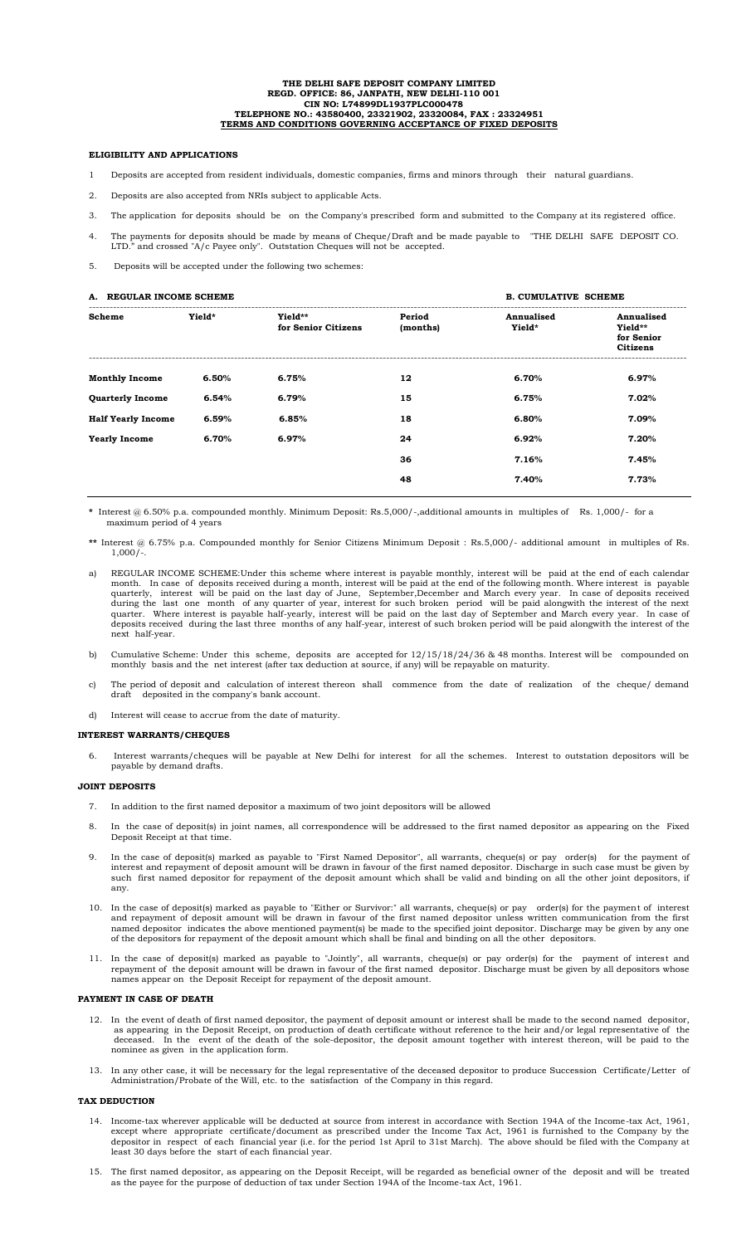#### **THE DELHI SAFE DEPOSIT COMPANY LIMITED REGD. OFFICE: 86, JANPATH, NEW DELHI-110 001 CIN NO: L74899DL1937PLC000478 TELEPHONE NO.: 43580400, 23321902, 23320084, FAX : 23324951 TERMS AND CONDITIONS GOVERNING ACCEPTANCE OF FIXED DEPOSITS**

### **ELIGIBILITY AND APPLICATIONS**

- 1 Deposits are accepted from resident individuals, domestic companies, firms and minors through their natural guardians.
- 2. Deposits are also accepted from NRIs subject to applicable Acts.
- 3. The application for deposits should be on the Company's prescribed form and submitted to the Company at its registered office.
- 4. The payments for deposits should be made by means of Cheque/Draft and be made payable to "THE DELHI SAFE DEPOSIT CO. LTD." and crossed "A/c Payee only". Outstation Cheques will not be accepted.

5. Deposits will be accepted under the following two schemes:

| A. REGULAR INCOME SCHEME  |        | <b>B. CUMULATIVE SCHEME</b>    |                    |                      |                                                        |
|---------------------------|--------|--------------------------------|--------------------|----------------------|--------------------------------------------------------|
| Scheme                    | Yield* | Yield**<br>for Senior Citizens | Period<br>(months) | Annualised<br>Yield* | Annualised<br>Yield**<br>for Senior<br><b>Citizens</b> |
| <b>Monthly Income</b>     | 6.50%  | 6.75%                          | 12                 | 6.70%                | 6.97%                                                  |
| <b>Quarterly Income</b>   | 6.54%  | 6.79%                          | 15                 | 6.75%                | 7.02%                                                  |
| <b>Half Yearly Income</b> | 6.59%  | 6.85%                          | 18                 | 6.80%                | 7.09%                                                  |
| <b>Yearly Income</b>      | 6.70%  | 6.97%                          | 24                 | 6.92%                | 7.20%                                                  |
|                           |        |                                | 36                 | 7.16%                | 7.45%                                                  |
|                           |        |                                | 48                 | 7.40%                | 7.73%                                                  |
|                           |        |                                |                    |                      |                                                        |

**\*** Interest @ 6.50% p.a. compounded monthly. Minimum Deposit: Rs.5,000/-,additional amounts in multiples of Rs. 1,000/- for a maximum period of 4 year

- **\*\*** Interest @ 6.75% p.a. Compounded monthly for Senior Citizens Minimum Deposit : Rs.5,000/- additional amount in multiples of Rs.  $1,000/-$ .
- a) REGULAR INCOME SCHEME:Under this scheme where interest is payable monthly, interest will be paid at the end of each calendar month. In case of deposits received during a month, interest will be paid at the end of the following month. Where interest is payable quarterly, interest will be paid on the last day of June, September,December and March every year. In case of deposits received during the last one month of any quarter of year, interest for such broken period will be paid alongwith the interest of the next quarter. Where interest is payable half-yearly, interest will be paid on the last day of September and March every year. In case of deposits received during the last three months of any half-year, interest of such broken period will be paid alongwith the interest of the next half-year.
- b) Cumulative Scheme: Under this scheme, deposits are accepted for 12/15/18/24/36 & 48 months. Interest will be compounded on monthly basis and the net interest (after tax deduction at source, if any) will be repayable on maturity.
- c) The period of deposit and calculation of interest thereon shall commence from the date of realization of the cheque/ demand draft deposited in the company's bank account.
- d) Interest will cease to accrue from the date of maturity.

### **INTEREST WARRANTS/CHEQUES**

6. Interest warrants/cheques will be payable at New Delhi for interest for all the schemes. Interest to outstation depositors will be payable by demand drafts.

#### **JOINT DEPOSITS**

- 7. In addition to the first named depositor a maximum of two joint depositors will be allowed
- 8. In the case of deposit(s) in joint names, all correspondence will be addressed to the first named depositor as appearing on the Fixed Deposit Receipt at that time.
- 9. In the case of deposit(s) marked as payable to "First Named Depositor", all warrants, cheque(s) or pay order(s) for the payment of interest and repayment of deposit amount will be drawn in favour of the first named depositor. Discharge in such case must be given by such first named depositor for repayment of the deposit amount which shall be valid and binding on all the other joint depositors, if any.
- 10. In the case of deposit(s) marked as payable to "Either or Survivor:" all warrants, cheque(s) or pay order(s) for the payment of interest and repayment of deposit amount will be drawn in favour of the first named depositor unless written communication from the first named depositor indicates the above mentioned payment(s) be made to the specified joint depositor. Discharge may be given by any one of the depositors for repayment of the deposit amount which shall be final and binding on all the other depositors.
- 11. In the case of deposit(s) marked as payable to "Jointly", all warrants, cheque(s) or pay order(s) for the payment of interest and repayment of the deposit amount will be drawn in favour of the first named depositor. Discharge must be given by all depositors whose names appear on the Deposit Receipt for repayment of the deposit amount.

### **PAYMENT IN CASE OF DEATH**

- 12. In the event of death of first named depositor, the payment of deposit amount or interest shall be made to the second named depositor, as appearing in the Deposit Receipt, on production of death certificate without reference to the heir and/or legal representative of the deceased. In the event of the death of the sole-depositor, the deposit amount together with interest thereon, will be paid to the nominee as given in the application form.
- 13. In any other case, it will be necessary for the legal representative of the deceased depositor to produce Succession Certificate/Letter of Administration/Probate of the Will, etc. to the satisfaction of the Company in this regard.

## **TAX DEDUCTION**

- 14. Income-tax wherever applicable will be deducted at source from interest in accordance with Section 194A of the Income-tax Act, 1961, except where appropriate certificate/document as prescribed under the Income Tax Act, 1961 is furnished to the Company by the depositor in respect of each financial year (i.e. for the period 1st April to 31st March). The above should be filed with the Company at least 30 days before the start of each financial year.
- 15. The first named depositor, as appearing on the Deposit Receipt, will be regarded as beneficial owner of the deposit and will be treated as the payee for the purpose of deduction of tax under Section 194A of the Income-tax Act, 1961.